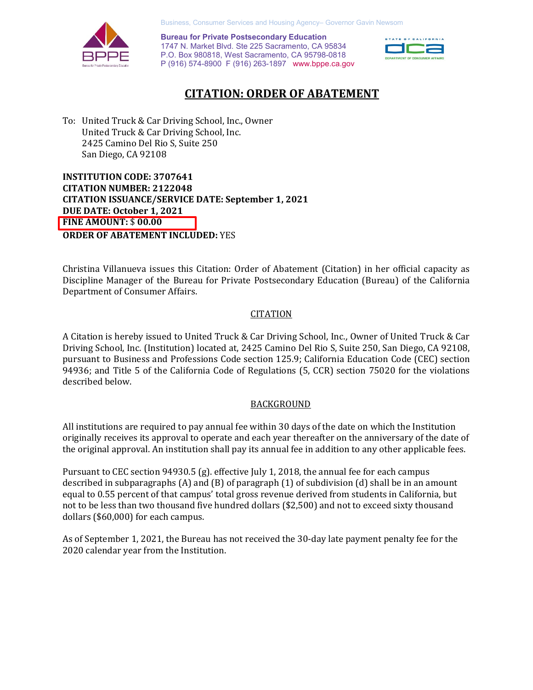Business, Consumer Services and Housing Agency– Governor Gavin Newsom



 P (916) 574-8900 F (916) 263-1897 <www.bppe.ca.gov> **Bureau for Private Postsecondary Education**  1747 N. Market Blvd. Ste 225 Sacramento, CA 95834 P.O. Box 980818, West Sacramento, CA 95798-0818



# **CITATION: ORDER OF ABATEMENT**

 To: United Truck & Car Driving School, Inc., Owner United Truck & Car Driving School, Inc. 2425 Camino Del Rio S, Suite 250 San Diego, CA 92108

 **INSTITUTION CODE: 3707641 CITATION ISSUANCE/SERVICE DATE: September 1, 2021 CITATION NUMBER: 2122048 DUE DATE: October 1, 2021 FINE AMOUNT:** \$ **00.00 ORDER OF ABATEMENT INCLUDED:** YES

 Christina Villanueva issues this Citation: Order of Abatement (Citation) in her official capacity as Department of Consumer Affairs. Discipline Manager of the Bureau for Private Postsecondary Education (Bureau) of the California

### **CITATION**

 Driving School, Inc. (Institution) located at, 2425 Camino Del Rio S, Suite 250, San Diego, CA 92108, described below. A Citation is hereby issued to United Truck & Car Driving School, Inc., Owner of United Truck & Car pursuant to Business and Professions Code section 125.9; California Education Code (CEC) section 94936; and Title 5 of the California Code of Regulations (5, CCR) section 75020 for the violations

### BACKGROUND

 All institutions are required to pay annual fee within 30 days of the date on which the Institution originally receives its approval to operate and each year thereafter on the anniversary of the date of the original approval. An institution shall pay its annual fee in addition to any other applicable fees.

 Pursuant to CEC section 94930.5 (g). effective July 1, 2018, the annual fee for each campus described in subparagraphs (A) and (B) of paragraph (1) of subdivision (d) shall be in an amount equal to 0.55 percent of that campus' total gross revenue derived from students in California, but not to be less than two thousand five hundred dollars (\$2,500) and not to exceed sixty thousand dollars (\$60,000) for each campus.

 As of September 1, 2021, the Bureau has not received the 30-day late payment penalty fee for the 2020 calendar year from the Institution.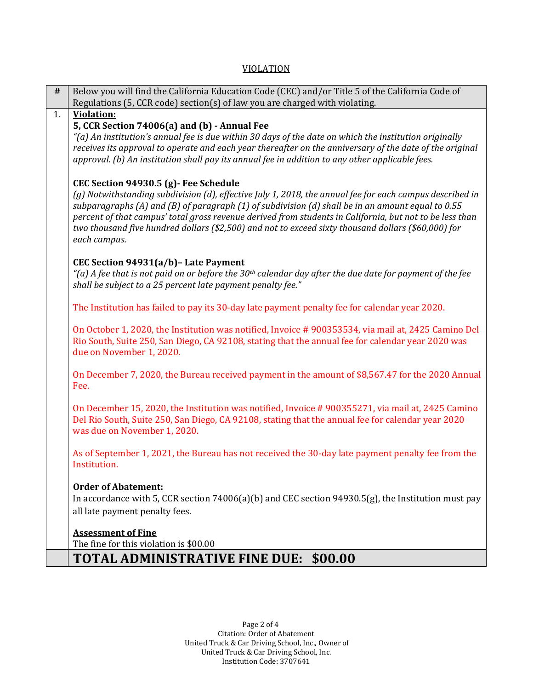### VIOLATION

| $\#$ | Below you will find the California Education Code (CEC) and/or Title 5 of the California Code of                                                                                                                                                                                                                                                                                                                                                                                           |
|------|--------------------------------------------------------------------------------------------------------------------------------------------------------------------------------------------------------------------------------------------------------------------------------------------------------------------------------------------------------------------------------------------------------------------------------------------------------------------------------------------|
|      | Regulations (5, CCR code) section(s) of law you are charged with violating.                                                                                                                                                                                                                                                                                                                                                                                                                |
| 1.   | <b>Violation:</b><br>5, CCR Section 74006(a) and (b) - Annual Fee<br>$\lq$ (a) An institution's annual fee is due within 30 days of the date on which the institution originally<br>receives its approval to operate and each year thereafter on the anniversary of the date of the original<br>approval. (b) An institution shall pay its annual fee in addition to any other applicable fees.                                                                                            |
|      | CEC Section 94930.5 (g) - Fee Schedule<br>(g) Notwithstanding subdivision (d), effective July 1, 2018, the annual fee for each campus described in<br>subparagraphs (A) and (B) of paragraph (1) of subdivision (d) shall be in an amount equal to 0.55<br>percent of that campus' total gross revenue derived from students in California, but not to be less than<br>two thousand five hundred dollars (\$2,500) and not to exceed sixty thousand dollars (\$60,000) for<br>each campus. |
|      | CEC Section 94931(a/b)- Late Payment<br>"(a) A fee that is not paid on or before the 30 <sup>th</sup> calendar day after the due date for payment of the fee<br>shall be subject to a 25 percent late payment penalty fee."                                                                                                                                                                                                                                                                |
|      | The Institution has failed to pay its 30-day late payment penalty fee for calendar year 2020.                                                                                                                                                                                                                                                                                                                                                                                              |
|      | On October 1, 2020, the Institution was notified, Invoice #900353534, via mail at, 2425 Camino Del<br>Rio South, Suite 250, San Diego, CA 92108, stating that the annual fee for calendar year 2020 was<br>due on November 1, 2020.                                                                                                                                                                                                                                                        |
|      | On December 7, 2020, the Bureau received payment in the amount of \$8,567.47 for the 2020 Annual<br>Fee.                                                                                                                                                                                                                                                                                                                                                                                   |
|      | On December 15, 2020, the Institution was notified, Invoice #900355271, via mail at, 2425 Camino<br>Del Rio South, Suite 250, San Diego, CA 92108, stating that the annual fee for calendar year 2020<br>was due on November 1, 2020.                                                                                                                                                                                                                                                      |
|      | As of September 1, 2021, the Bureau has not received the 30-day late payment penalty fee from the<br>Institution.                                                                                                                                                                                                                                                                                                                                                                          |
|      | <b>Order of Abatement:</b><br>In accordance with 5, CCR section 74006(a)(b) and CEC section 94930.5(g), the Institution must pay<br>all late payment penalty fees.                                                                                                                                                                                                                                                                                                                         |
|      | <b>Assessment of Fine</b><br>The fine for this violation is \$00.00                                                                                                                                                                                                                                                                                                                                                                                                                        |
|      | <b>TOTAL ADMINISTRATIVE FINE DUE: \$00.00</b>                                                                                                                                                                                                                                                                                                                                                                                                                                              |

# **TOTAL ADMINISTRATIVE FINE DUE: \$00.00**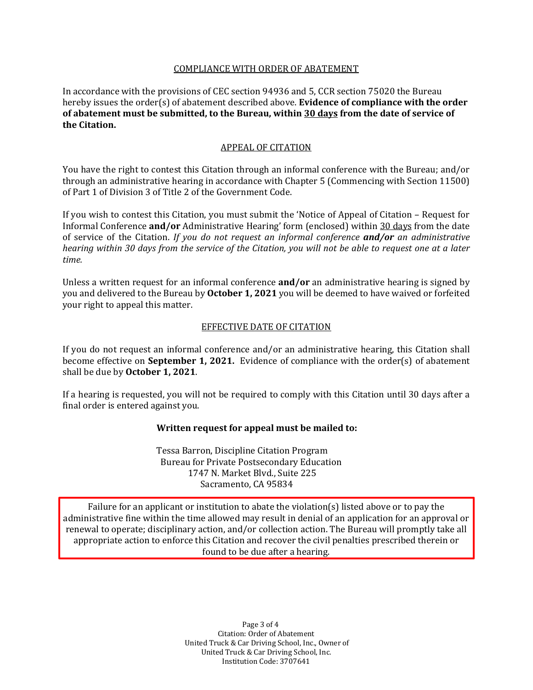## COMPLIANCE WITH ORDER OF ABATEMENT

 In accordance with the provisions of CEC section 94936 and 5, CCR section 75020 the Bureau hereby issues the order(s) of abatement described above. **Evidence of compliance with the order of abatement must be submitted, to the Bureau, within 30 days from the date of service of the Citation.** 

## APPEAL OF CITATION

 You have the right to contest this Citation through an informal conference with the Bureau; and/or through an administrative hearing in accordance with Chapter 5 (Commencing with Section 11500) of Part 1 of Division 3 of Title 2 of the Government Code.

 If you wish to contest this Citation, you must submit the 'Notice of Appeal of Citation – Request for Informal Conference **and/or** Administrative Hearing' form (enclosed) within 30 days from the date  *hearing within 30 days from the service of the Citation, you will not be able to request one at a later*  of service of the Citation. *If you do not request an informal conference and/or an administrative time.* 

 Unless a written request for an informal conference **and/or** an administrative hearing is signed by you and delivered to the Bureau by **October 1, 2021** you will be deemed to have waived or forfeited your right to appeal this matter.

#### EFFECTIVE DATE OF CITATION

 If you do not request an informal conference and/or an administrative hearing, this Citation shall shall be due by **October 1, 2021**. become effective on **September 1, 2021.** Evidence of compliance with the order(s) of abatement

 If a hearing is requested, you will not be required to comply with this Citation until 30 days after a final order is entered against you.

### **Written request for appeal must be mailed to:**

 Tessa Barron, Discipline Citation Program 1747 N. Market Blvd., Suite 225 Bureau for Private Postsecondary Education Sacramento, CA 95834

 Failure for an applicant or institution to abate the violation(s) listed above or to pay the administrative fine within the time allowed may result in denial of an application for an approval or renewal to operate; disciplinary action, and/or collection action. The Bureau will promptly take all appropriate action to enforce this Citation and recover the civil penalties prescribed therein or found to be due after a hearing.

> United Truck & Car Driving School, Inc., Owner of Page 3 of 4 Citation: Order of Abatement United Truck & Car Driving School, Inc. Institution Code: 3707641